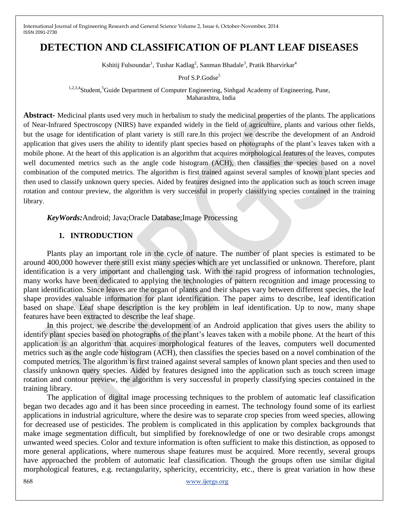# **DETECTION AND CLASSIFICATION OF PLANT LEAF DISEASES**

Kshitij Fulsoundar<sup>1</sup>, Tushar Kadlag<sup>2</sup>, Sanman Bhadale<sup>3</sup>, Pratik Bharvirkar<sup>4</sup>

Prof S.P.Godse<sup>5</sup>

<sup>1,2,3,4</sup>Student,<sup>5</sup>Guide Department of Computer Engineering, Sinhgad Academy of Engineering, Pune, Maharashtra, India

**Abstract-** Medicinal plants used very much in herbalism to study the medicinal properties of the plants. The applications of Near-Infrared Spectroscopy (NIRS) have expanded widely in the field of agriculture, plants and various other fields, but the usage for identification of plant variety is still rare.In this project we describe the development of an Android application that gives users the ability to identify plant species based on photographs of the plant's leaves taken with a mobile phone. At the heart of this application is an algorithm that acquires morphological features of the leaves, computes well documented metrics such as the angle code histogram (ACH), then classifies the species based on a novel combination of the computed metrics. The algorithm is first trained against several samples of known plant species and then used to classify unknown query species. Aided by features designed into the application such as touch screen image rotation and contour preview, the algorithm is very successful in properly classifying species contained in the training library.

*KeyWords:*Android; Java;Oracle Database;Image Processing

## **1. INTRODUCTION**

Plants play an important role in the cycle of nature. The number of plant species is estimated to be around 400,000 however there still exist many species which are yet unclassified or unknown. Therefore, plant identification is a very important and challenging task. With the rapid progress of information technologies, many works have been dedicated to applying the technologies of pattern recognition and image processing to plant identification. Since leaves are the organ of plants and their shapes vary between different species, the leaf shape provides valuable information for plant identification. The paper aims to describe, leaf identification based on shape. Leaf shape description is the key problem in leaf identification. Up to now, many shape features have been extracted to describe the leaf shape.

In this project, we describe the development of an Android application that gives users the ability to identify plant species based on photographs of the plant's leaves taken with a mobile phone. At the heart of this application is an algorithm that acquires morphological features of the leaves, computers well documented metrics such as the angle code histogram (ACH), then classifies the species based on a novel combination of the computed metrics. The algorithm is first trained against several samples of known plant species and then used to classify unknown query species. Aided by features designed into the application such as touch screen image rotation and contour preview, the algorithm is very successful in properly classifying species contained in the training library.

The application of digital image processing techniques to the problem of automatic leaf classification began two decades ago and it has been since proceeding in earnest. The technology found some of its earliest applications in industrial agriculture, where the desire was to separate crop species from weed species, allowing for decreased use of pesticides. The problem is complicated in this application by complex backgrounds that make image segmentation difficult, but simplified by foreknowledge of one or two desirable crops amongst unwanted weed species. Color and texture information is often sufficient to make this distinction, as opposed to more general applications, where numerous shape features must be acquired. More recently, several groups have approached the problem of automatic leaf classification. Though the groups often use similar digital morphological features, e.g. rectangularity, sphericity, eccentricity, etc., there is great variation in how these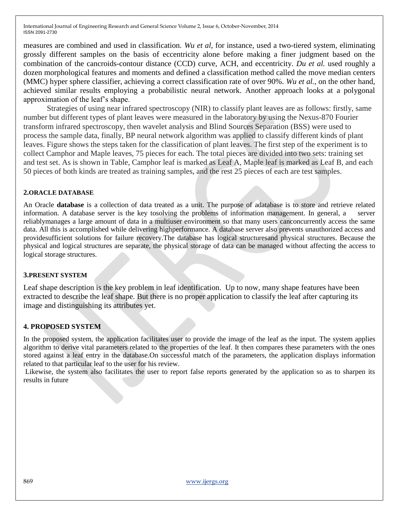measures are combined and used in classification. *Wu et al,* for instance, used a two-tiered system, eliminating grossly different samples on the basis of eccentricity alone before making a finer judgment based on the combination of the cancroids-contour distance (CCD) curve, ACH, and eccentricity. *Du et al.* used roughly a dozen morphological features and moments and defined a classification method called the move median centers (MMC) hyper sphere classifier, achieving a correct classification rate of over 90%. *Wu et al.*, on the other hand, achieved similar results employing a probabilistic neural network. Another approach looks at a polygonal approximation of the leaf's shape.

Strategies of using near infrared spectroscopy (NIR) to classify plant leaves are as follows: firstly, same number but different types of plant leaves were measured in the laboratory by using the Nexus-870 Fourier transform infrared spectroscopy, then wavelet analysis and Blind Sources Separation (BSS) were used to process the sample data, finally, BP neural network algorithm was applied to classify different kinds of plant leaves. Figure shows the steps taken for the classification of plant leaves. The first step of the experiment is to collect Camphor and Maple leaves, 75 pieces for each. The total pieces are divided into two sets: training set and test set. As is shown in Table, Camphor leaf is marked as Leaf A, Maple leaf is marked as Leaf B, and each 50 pieces of both kinds are treated as training samples, and the rest 25 pieces of each are test samples.

#### **2.ORACLE DATABASE**

An Oracle **database** is a collection of data treated as a unit. The purpose of adatabase is to store and retrieve related information. A database server is the key tosolving the problems of information management. In general, a server reliablymanages a large amount of data in a multiuser environment so that many users canconcurrently access the same data. All this is accomplished while delivering highperformance. A database server also prevents unauthorized access and providesufficient solutions for failure recovery.The database has logical structuresand physical structures. Because the physical and logical structures are separate, the physical storage of data can be managed without affecting the access to logical storage structures.

#### **3.PRESENT SYSTEM**

Leaf shape description is the key problem in leaf identification. Up to now, many shape features have been extracted to describe the leaf shape. But there is no proper application to classify the leaf after capturing its image and distinguishing its attributes yet.

### **4. PROPOSED SYSTEM**

In the proposed system, the application facilitates user to provide the image of the leaf as the input. The system applies algorithm to derive vital parameters related to the properties of the leaf. It then compares these parameters with the ones stored against a leaf entry in the database.On successful match of the parameters, the application displays information related to that particular leaf to the user for his review.

Likewise, the system also facilitates the user to report false reports generated by the application so as to sharpen its results in future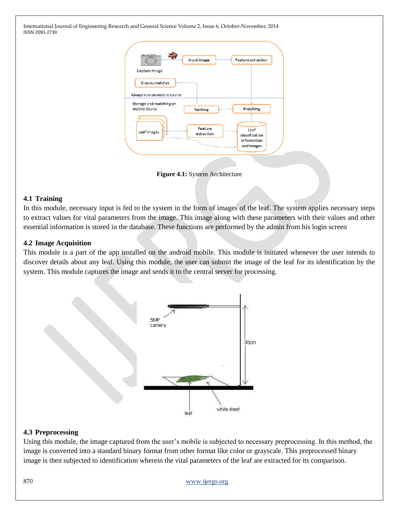| Capture Image                                  | Input image           | Feature extraction                                  |
|------------------------------------------------|-----------------------|-----------------------------------------------------|
| Display matches<br>Always run on mobile device |                       |                                                     |
| Storage and matching on<br>mobile device       | Ranking               | Matching                                            |
| Leaf images                                    | Feature<br>extraction | Leaf<br>classification<br>information<br>and images |
|                                                |                       |                                                     |

**Figure 4.1:** System Architecture

### **4.1 Training**

In this module, necessary input is fed to the system in the form of images of the leaf. The system applies necessary steps to extract values for vital parameters from the image. This image along with these parameters with their values and other essential information is stored in the database. These functions are performed by the admin from his login screen

### **4.2 Image Acquisition**

This module is a part of the app installed on the android mobile. This module is initiated whenever the user intends to discover details about any leaf. Using this module, the user can submit the image of the leaf for its identification by the system. This module captures the image and sends it to the central server for processing.



### **4.3 Preprocessing**

Using this module, the image captured from the user's mobile is subjected to necessary preprocessing. In this method, the image is converted into a standard binary format from other format like color or grayscale. This preprocessed binary image is then subjected to identification wherein the vital parameters of the leaf are extracted for its comparison.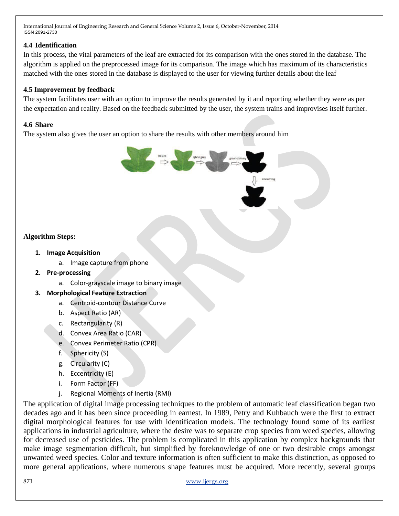# **4.4 Identification**

In this process, the vital parameters of the leaf are extracted for its comparison with the ones stored in the database. The algorithm is applied on the preprocessed image for its comparison. The image which has maximum of its characteristics matched with the ones stored in the database is displayed to the user for viewing further details about the leaf

# **4.5 Improvement by feedback**

The system facilitates user with an option to improve the results generated by it and reporting whether they were as per the expectation and reality. Based on the feedback submitted by the user, the system trains and improvises itself further.

### **4.6 Share**

The system also gives the user an option to share the results with other members around him

# **Algorithm Steps:**

- **1. Image Acquisition**
	- a. Image capture from phone
- **2. Pre-processing**
	- a. Color-grayscale image to binary image
- **3. Morphological Feature Extraction**
	- a. Centroid-contour Distance Curve
	- b. Aspect Ratio (AR)
	- c. Rectangularity (R)
	- d. Convex Area Ratio (CAR)
	- e. Convex Perimeter Ratio (CPR)
	- f. Sphericity (S)
	- g. Circularity (C)
	- h. Eccentricity (E)
	- i. Form Factor (FF)
	- j. Regional Moments of Inertia (RMI)

The application of digital image processing techniques to the problem of automatic leaf classification began two decades ago and it has been since proceeding in earnest. In 1989, Petry and Kuhbauch were the first to extract digital morphological features for use with identification models. The technology found some of its earliest applications in industrial agriculture, where the desire was to separate crop species from weed species, allowing for decreased use of pesticides. The problem is complicated in this application by complex backgrounds that make image segmentation difficult, but simplified by foreknowledge of one or two desirable crops amongst unwanted weed species. Color and texture information is often sufficient to make this distinction, as opposed to more general applications, where numerous shape features must be acquired. More recently, several groups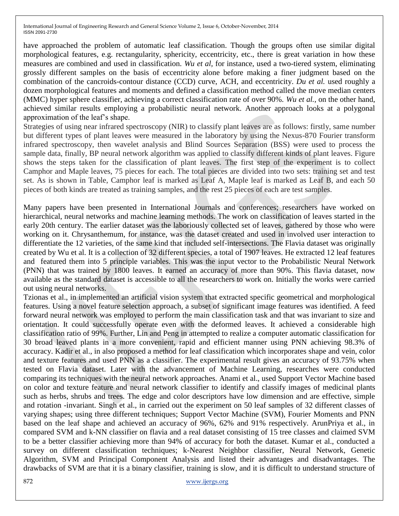have approached the problem of automatic leaf classification. Though the groups often use similar digital morphological features, e.g. rectangularity, sphericity, eccentricity, etc., there is great variation in how these measures are combined and used in classification. *Wu et al,* for instance, used a two-tiered system, eliminating grossly different samples on the basis of eccentricity alone before making a finer judgment based on the combination of the cancroids-contour distance (CCD) curve, ACH, and eccentricity. *Du et al.* used roughly a dozen morphological features and moments and defined a classification method called the move median centers (MMC) hyper sphere classifier, achieving a correct classification rate of over 90%. *Wu et al.*, on the other hand, achieved similar results employing a probabilistic neural network. Another approach looks at a polygonal approximation of the leaf's shape.

Strategies of using near infrared spectroscopy (NIR) to classify plant leaves are as follows: firstly, same number but different types of plant leaves were measured in the laboratory by using the Nexus-870 Fourier transform infrared spectroscopy, then wavelet analysis and Blind Sources Separation (BSS) were used to process the sample data, finally, BP neural network algorithm was applied to classify different kinds of plant leaves. Figure shows the steps taken for the classification of plant leaves. The first step of the experiment is to collect Camphor and Maple leaves, 75 pieces for each. The total pieces are divided into two sets: training set and test set. As is shown in Table, Camphor leaf is marked as Leaf A, Maple leaf is marked as Leaf B, and each 50 pieces of both kinds are treated as training samples, and the rest 25 pieces of each are test samples.

Many papers have been presented in International Journals and conferences; researchers have worked on hierarchical, neural networks and machine learning methods. The work on classification of leaves started in the early 20th century. The earlier dataset was the laboriously collected set of leaves, gathered by those who were working on it. Chrysanthemum, for instance, was the dataset created and used in involved user interaction to differentiate the 12 varieties, of the same kind that included self-intersections. The Flavia dataset was originally created by Wu et al. It is a collection of 32 different species, a total of 1907 leaves. He extracted 12 leaf features and featured them into 5 principle variables. This was the input vector to the Probabilistic Neural Network (PNN) that was trained by 1800 leaves. It earned an accuracy of more than 90%. This flavia dataset, now available as the standard dataset is accessible to all the researchers to work on. Initially the works were carried out using neural networks.

Tzionas et al., in implemented an artificial vision system that extracted specific geometrical and morphological features. Using a novel feature selection approach, a subset of significant image features was identified. A feed forward neural network was employed to perform the main classification task and that was invariant to size and orientation. It could successfully operate even with the deformed leaves. It achieved a considerable high classification ratio of 99%. Further, Lin and Peng in attempted to realize a computer automatic classification for 30 broad leaved plants in a more convenient, rapid and efficient manner using PNN achieving 98.3% of accuracy. Kadir et al., in also proposed a method for leaf classification which incorporates shape and vein, color and texture features and used PNN as a classifier. The experimental result gives an accuracy of 93.75% when tested on Flavia dataset. Later with the advancement of Machine Learning, researches were conducted comparing its techniques with the neural network approaches. Anami et al., used Support Vector Machine based on color and texture feature and neural network classifier to identify and classify images of medicinal plants such as herbs, shrubs and trees. The edge and color descriptors have low dimension and are effective, simple and rotation -invariant. Singh et al., in carried out the experiment on 50 leaf samples of 32 different classes of varying shapes; using three different techniques; Support Vector Machine (SVM), Fourier Moments and PNN based on the leaf shape and achieved an accuracy of 96%, 62% and 91% respectively. ArunPriya et al., in compared SVM and k-NN classifier on flavia and a real dataset consisting of 15 tree classes and claimed SVM to be a better classifier achieving more than 94% of accuracy for both the dataset. Kumar et al., conducted a survey on different classification techniques; k-Nearest Neighbor classifier, Neural Network, Genetic Algorithm, SVM and Principal Component Analysis and listed their advantages and disadvantages. The drawbacks of SVM are that it is a binary classifier, training is slow, and it is difficult to understand structure of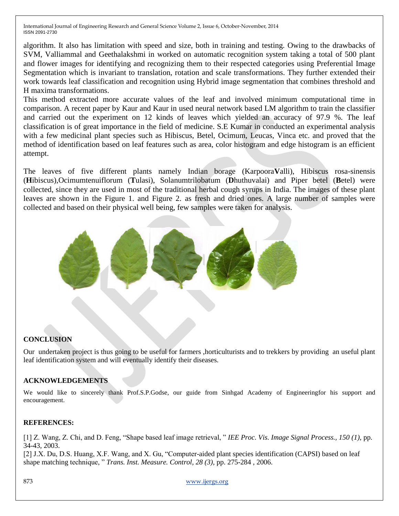algorithm. It also has limitation with speed and size, both in training and testing. Owing to the drawbacks of SVM, Valliammal and Geethalakshmi in worked on automatic recognition system taking a total of 500 plant and flower images for identifying and recognizing them to their respected categories using Preferential Image Segmentation which is invariant to translation, rotation and scale transformations. They further extended their work towards leaf classification and recognition using Hybrid image segmentation that combines threshold and H maxima transformations.

This method extracted more accurate values of the leaf and involved minimum computational time in comparison. A recent paper by Kaur and Kaur in used neural network based LM algorithm to train the classifier and carried out the experiment on 12 kinds of leaves which yielded an accuracy of 97.9 %. The leaf classification is of great importance in the field of medicine. S.E Kumar in conducted an experimental analysis with a few medicinal plant species such as Hibiscus, Betel, Ocimum, Leucas, Vinca etc. and proved that the method of identification based on leaf features such as area, color histogram and edge histogram is an efficient attempt.

The leaves of five different plants namely Indian borage (Karpoora**V**alli), Hibiscus rosa-sinensis (**H**ibiscus)*,*Ocimumtenuiflorum (**T**ulasi), Solanumtrilobatum (**D**huthuvalai) and Piper betel (**B**etel) were collected, since they are used in most of the traditional herbal cough syrups in India. The images of these plant leaves are shown in the Figure 1. and Figure 2. as fresh and dried ones. A large number of samples were collected and based on their physical well being, few samples were taken for analysis.



### **CONCLUSION**

Our undertaken project is thus going to be useful for farmers ,horticulturists and to trekkers by providing an useful plant leaf identification system and will eventually identify their diseases.

### **ACKNOWLEDGEMENTS**

We would like to sincerely thank Prof.S.P.Godse, our guide from Sinhgad Academy of Engineeringfor his support and encouragement.

### **REFERENCES:**

[1] Z. Wang, Z. Chi, and D. Feng, "Shape based leaf image retrieval, " *IEE Proc. Vis. Image Signal Process., 150 (1),* pp. 34-43, 2003.

[2] J.X. Du, D.S. Huang, X.F. Wang, and X. Gu, "Computer-aided plant species identification (CAPSI) based on leaf shape matching technique, " *Trans. Inst. Measure. Control, 28 (3),* pp. 275-284 , 2006.